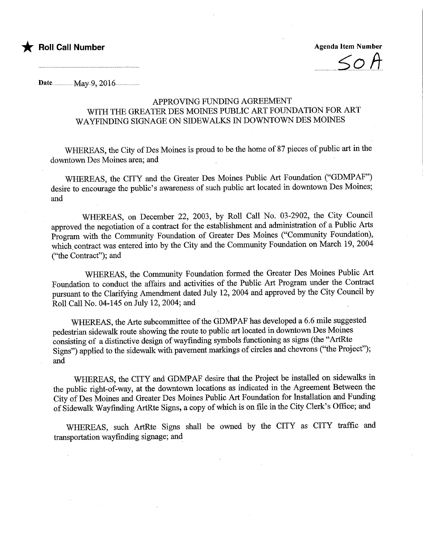and Call Number Agenda item Number Agenda item Number

 $\leq$ 

Date...................May.9,20.1.6...

## APPROVING FUNDING AGREEMENT WITH THE GREATER DES MOINES PUBLIC ART FOUNDATION FOR ART WAYFDMDING SIGNAGE ON SIDEWALKS IN DOWNTOWN DES MOINES

WHEREAS, the City of Des Moines is proud to be the home of 87 pieces of public art in the downtown Des Moines area; and

WHEREAS, the CITY and the Greater Des Moines Public Art Foundation ("GDMPAF") desire to encourage the public's awareness of such public art located in downtown Des Moines; and

WHEREAS, on December 22, 2003, by Roll Call No. 03-2902, the City Council approved the negotiation of a contract for the establishment and administration of a Public Arts Program with the Community Foundation of Greater Des Moines ("Community Foundation), which contract was entered into by the City and the Community Foundation on March 19, 2004 ("the Contract"); and

WHEREAS, the Community Foundation formed the Greater Des Moines Public Art Foundation to conduct the affairs and activities of the Public Art Program under the Contract pursuant to the Clarifying Amendment dated July 12, 2004 and approved by the City Council by Roll Call No. 04-145 on July 12, 2004; and

WHEREAS, the Arte subcommittee of the GDMPAF has developed a 6.6 mile suggested pedestrian sidewalk route showing the route to public art located in downtown Des Moines consisting of a distinctive design of wayfinding symbols functioning as signs (the "ArtRte Signs") applied to the sidewalk with pavement markings of circles and chevrons ("the Project"); and

WHEREAS, the CITY and GDMPAF desire that the Project be installed on sidewalks in the public right-of-way, at the downtown locations as indicated in the Agreement Between the City of Des Moines and Greater Des Moines Public Art Foundation for Installation and Funding of Sidewalk Wayfinding ArtRte Signs, a copy of which is on file in the City Clerk's Office; and

WHEREAS, such ArtRte Signs shall be owned by the CITY as CITY traffic and transportation wayfmding signage; and